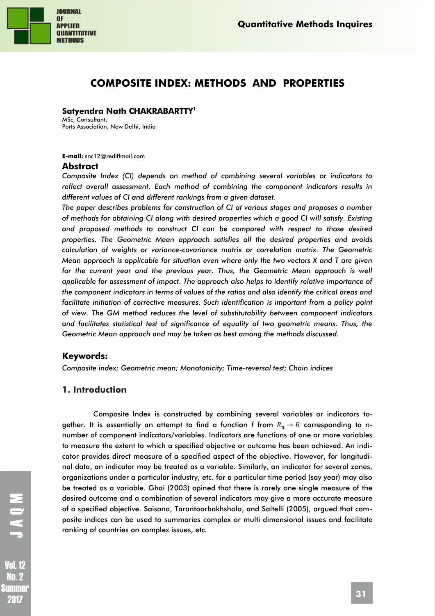

# **COMPOSITE INDEX: METHODS AND PROPERTIES**

## **Satyendra Nath CHAKRABARTTY<sup>1</sup>**

MSc, Consultant, Ports Association, New Delhi, India

**E-mail:** snc12@rediffmail.com

#### **Abstract**

*Composite Index (CI) depends on method of combining several variables or indicators to reflect overall assessment. Each method of combining the component indicators results in different values of CI and different rankings from a given dataset.*

*The paper describes problems for construction of CI at various stages and proposes a number of methods for obtaining CI along with desired properties which a good CI will satisfy. Existing and proposed methods to construct CI can be compared with respect to those desired properties. The Geometric Mean approach satisfies all the desired properties and avoids calculation of weights or variance-covariance matrix or correlation matrix. The Geometric Mean approach is applicable for situation even where only the two vectors X and T are given*  for the current year and the previous year. Thus, the Geometric Mean approach is well *applicable for assessment of impact. The approach also helps to identify relative importance of the component indicators in terms of values of the ratios and also identify the critical areas and facilitate initiation of corrective measures. Such identification is important from a policy point of view. The GM method reduces the level of substitutability between component indicators and facilitates statistical test of significance of equality of two geometric means. Thus, the Geometric Mean approach and may be taken as best among the methods discussed.*

### **Keywords:**

*Composite index; Geometric mean; Monotonicity; Time-reversal test; Chain indices*

### **1. Introduction**

Composite Index is constructed by combining several variables or indicators together. It is essentially an attempt to find a function *f* from  $R_n \to R$  corresponding to *n*number of component indicators/variables. Indicators are functions of one or more variables to measure the extent to which a specified objective or outcome has been achieved. An indicator provides direct measure of a specified aspect of the objective. However, for longitudinal data, an indicator may be treated as a variable. Similarly, an indicator for several zones, organizations under a particular industry, etc. for a particular time period (say year) may also be treated as a variable. Ghai (2003) opined that there is rarely one single measure of the desired outcome and a combination of several indicators may give a more accurate measure of a specified objective. Saisana, Tarantoorbakhshola, and Saltelli (2005), argued that composite indices can be used to summaries complex or multi‐dimensional issues and facilitate ranking of countries on complex issues, etc.

Summer 2017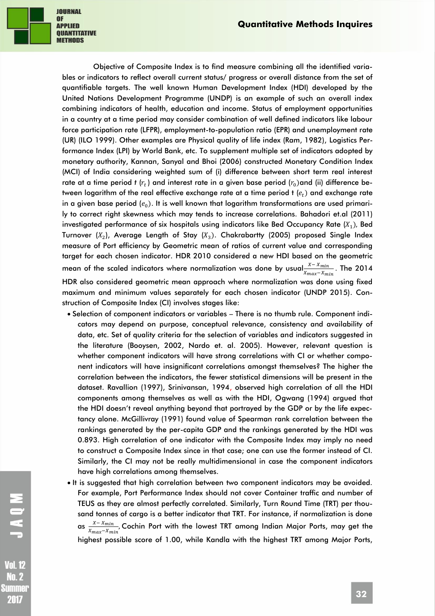

Objective of Composite Index is to find measure combining all the identified variables or indicators to reflect overall current status/ progress or overall distance from the set of quantifiable targets. The well known Human Development Index (HDI) developed by the United Nations Development Programme (UNDP) is an example of such an overall index combining indicators of health, education and income. Status of employment opportunities in a country at a time period may consider combination of well defined indicators like labour force participation rate (LFPR), employment-to-population ratio (EPR) and unemployment rate (UR) (ILO 1999). Other examples are Physical quality of life index (Ram, 1982), Logistics Performance Index (LPI) by World Bank, etc. To supplement multiple set of indicators adopted by monetary authority, Kannan, Sanyal and Bhoi (2006) constructed Monetary Condition Index (MCI) of India considering weighted sum of (i) difference between short term real interest rate at a time period t  $(r_t^{})$  and interest rate in a given base period  $(r_0^{})$ and (ii) difference between logarithm of the real effective exchange rate at a time period t  $(e_t)$  and exchange rate in a given base period  $(e_0)$ . It is well known that logarithm transformations are used primarily to correct right skewness which may tends to increase correlations. Bahadori et.al (2011) investigated performance of six hospitals using indicators like Bed Occupancy Rate  $(X_1)$ , Bed Turnover  $(X_2)$ , Average Length of Stay  $(X_3)$ . Chakrabartty (2005) proposed Single Index measure of Port efficiency by Geometric mean of ratios of current value and corresponding target for each chosen indicator. HDR 2010 considered a new HDI based on the geometric mean of the scaled indicators where normalization was done by usual $\frac{X-X_{min}}{X_{max}-X_{min}}$ . The 2014 HDR also considered geometric mean approach where normalization was done using fixed maximum and minimum values separately for each chosen indicator (UNDP 2015). Construction of Composite Index (CI) involves stages like:

- Selection of component indicators or variables There is no thumb rule. Component indicators may depend on purpose, conceptual relevance, consistency and availability of data, etc. Set of quality criteria for the selection of variables and indicators suggested in the literature (Booysen, 2002, Nardo et. al. 2005). However, relevant question is whether component indicators will have strong correlations with CI or whether component indicators will have insignificant correlations amongst themselves? The higher the correlation between the indicators, the fewer statistical dimensions will be present in the dataset. Ravallion (1997), Srinivansan, 1994, observed high correlation of all the HDI components among themselves as well as with the HDI, Ogwang (1994) argued that the HDI doesn't reveal anything beyond that portrayed by the GDP or by the life expectancy alone. McGillivray (1991) found value of Spearman rank correlation between the rankings generated by the per-capita GDP and the rankings generated by the HDI was 0.893. High correlation of one indicator with the Composite Index may imply no need to construct a Composite Index since in that case; one can use the former instead of CI. Similarly, the CI may not be really multidimensional in case the component indicators have high correlations among themselves.
- It is suggested that high correlation between two component indicators may be avoided. For example, Port Performance Index should not cover Container traffic and number of TEUS as they are almost perfectly correlated. Similarly, Turn Round Time (TRT) per thousand tonnes of cargo is a better indicator that TRT. For instance, if normalization is done as  $\frac{X - X_{min}}{X}$  $\frac{A-Amin}{X_{max}-X_{min}}$ , Cochin Port with the lowest TRT among Indian Major Ports, may get the highest possible score of 1.00, while Kandla with the highest TRT among Major Ports,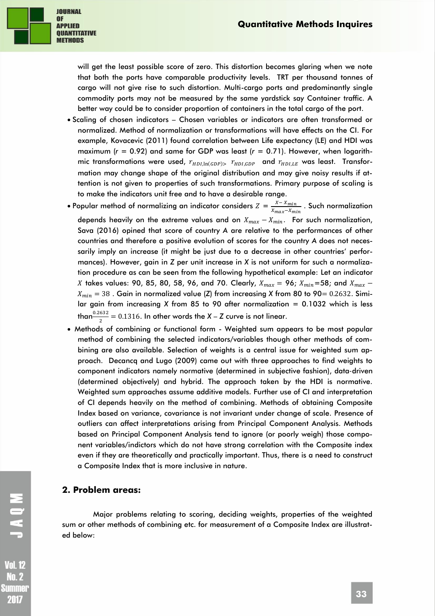

will get the least possible score of zero. This distortion becomes glaring when we note that both the ports have comparable productivity levels. TRT per thousand tonnes of cargo will not give rise to such distortion. Multi-cargo ports and predominantly single commodity ports may not be measured by the same yardstick say Container traffic. A better way could be to consider proportion of containers in the total cargo of the port.

- Scaling of chosen indicators Chosen variables or indicators are often transformed or normalized. Method of normalization or transformations will have effects on the CI. For example, Kovacevic (2011) found correlation between Life expectancy (LE) and HDI was maximum (*r* = 0.92) and same for GDP was least (*r* = 0.71). However, when logarithmic transformations were used,  $r_{HDI,ln(GDP)>}$   $r_{HDI,GDP}$  and  $r_{HDI,LE}$  was least. Transformation may change shape of the original distribution and may give noisy results if attention is not given to properties of such transformations. Primary purpose of scaling is to make the indicators unit free and to have a desirable range.
- Popular method of normalizing an indicator considers  $Z = \frac{X X_{min}}{Y Y}$  $\frac{A_{max}-A_{min}}{X_{max}-X_{min}}$  . Such normalization depends heavily on the extreme values and on  $X_{max} - X_{min}$ . For such normalization, Sava (2016) opined that score of country *A* are relative to the performances of other countries and therefore a positive evolution of scores for the country *A* does not necessarily imply an increase (it might be just due to a decrease in other countries' performances). However, gain in *Z* per unit increase in *X* is not uniform for such a normalization procedure as can be seen from the following hypothetical example: Let an indicator X takes values: 90, 85, 80, 58, 96, and 70. Clearly,  $X_{max} = 96$ ;  $X_{min} = 58$ ; and  $X_{max}$  –  $X_{min} = 38$ . Gain in normalized value (*Z*) from increasing *X* from 80 to 90= 0.2632. Similar gain from increasing *X* from 85 to 90 after normalization = 0.1032 which is less than $\frac{0.2632}{2}$  = 0.1316. In other words the *X* – *Z* curve is not linear.
- Methods of combining or functional form Weighted sum appears to be most popular method of combining the selected indicators/variables though other methods of combining are also available. Selection of weights is a central issue for weighted sum approach. Decancq and Lugo (2009) came out with three approaches to find weights to component indicators namely normative (determined in subjective fashion), data‐driven (determined objectively) and hybrid. The approach taken by the HDI is normative. Weighted sum approaches assume additive models. Further use of CI and interpretation of CI depends heavily on the method of combining. Methods of obtaining Composite Index based on variance, covariance is not invariant under change of scale. Presence of outliers can affect interpretations arising from Principal Component Analysis. Methods based on Principal Component Analysis tend to ignore (or poorly weigh) those component variables/indictors which do not have strong correlation with the Composite index even if they are theoretically and practically important. Thus, there is a need to construct a Composite Index that is more inclusive in nature.

### **2. Problem areas:**

Major problems relating to scoring, deciding weights, properties of the weighted sum or other methods of combining etc. for measurement of a Composite Index are illustrated below:

Summer 207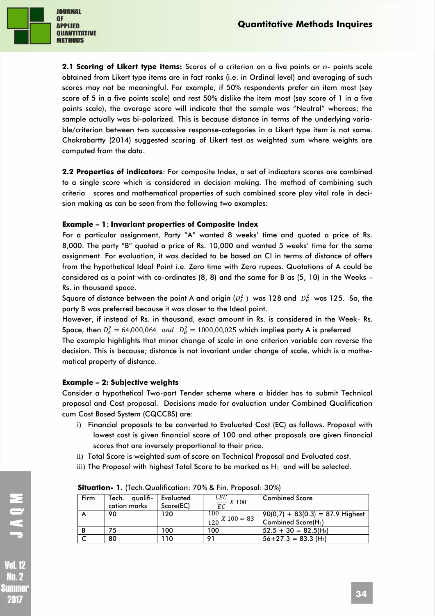

**2.1 Scoring of Likert type items:** Scores of a criterion on a five points or *n*- points scale obtained from Likert type items are in fact ranks (i.e. in Ordinal level) and averaging of such scores may not be meaningful. For example, if 50% respondents prefer an item most (say score of 5 in a five points scale) and rest 50% dislike the item most (say score of 1 in a five points scale), the average score will indicate that the sample was "Neutral" whereas; the sample actually was bi-polarized. This is because distance in terms of the underlying variable/criterion between two successive response-categories in a Likert type item is not same. Chakrabartty (2014) suggested scoring of Likert test as weighted sum where weights are computed from the data.

**2.2 Properties of indicators**: For composite Index, a set of indicators scores are combined to a single score which is considered in decision making. The method of combining such criteria scores and mathematical properties of such combined score play vital role in decision making as can be seen from the following two examples:

### **Example – 1**: **Invariant properties of Composite Index**

For a particular assignment, Party "A" wanted 8 weeks' time and quoted a price of Rs. 8,000. The party "B" quoted a price of Rs. 10,000 and wanted 5 weeks' time for the same assignment. For evaluation, it was decided to be based on CI in terms of distance of offers from the hypothetical Ideal Point i.e. Zero time with Zero rupees. Quotations of A could be considered as a point with co-ordinates (8, 8) and the same for B as (5, 10) in the Weeks – Rs. in thousand space.

Square of distance between the point A and origin  $(D_{A}^{2} \,)$  was 128 and  $\vert D_{B}^{2} \vert$  was 125. So, the party B was preferred because it was closer to the Ideal point.

However, if instead of Rs. in thousand, exact amount in Rs. is considered in the Week- Rs. Space, then  $D_A^2 = 64,000,064$  and  $D_B^2 = 1000,00,025$  which implie**s** party A is preferred

The example highlights that minor change of scale in one criterion variable can reverse the decision. This is because; distance is not invariant under change of scale, which is a mathematical property of distance.

### **Example – 2: Subjective weights**

Consider a hypothetical Two-part Tender scheme where a bidder has to submit Technical proposal and Cost proposal. Decisions made for evaluation under Combined Qualification cum Cost Based System (CQCCBS) are:

- i) Financial proposals to be converted to Evaluated Cost (EC) as follows. Proposal with lowest cost is given financial score of 100 and other proposals are given financial scores that are inversely proportional to their price.
- ii) Total Score is weighted sum of score on Technical Proposal and Evaluated cost.
- iii) The Proposal with highest Total Score to be marked as  $H_1$  and will be selected.

| <b>Firm</b> | qualifi-<br>Tech. | <b>L</b> Evaluated | $\frac{LEC}{EC}$ X 100       | <b>Combined Score</b>                |  |  |  |  |
|-------------|-------------------|--------------------|------------------------------|--------------------------------------|--|--|--|--|
|             | cation marks      | Score(EC)          |                              |                                      |  |  |  |  |
|             | 90                | 120                | 100                          | $90(0,7) + 83(0.3) = 87.9$ Highest   |  |  |  |  |
|             |                   |                    | $\frac{188}{120} X 100 = 83$ | Combined Score $(H_1)$               |  |  |  |  |
|             | 75                | 100                | 100                          | $52.5 + 30 = 82.5$ (H <sub>3</sub> ) |  |  |  |  |
|             | 80                | 10                 | 91                           | $56+27.3 = 83.3$ (H <sub>2</sub> )   |  |  |  |  |

**Situation- 1.** (Tech.Qualification: 70% & Fin. Proposal: 30%)

MOKL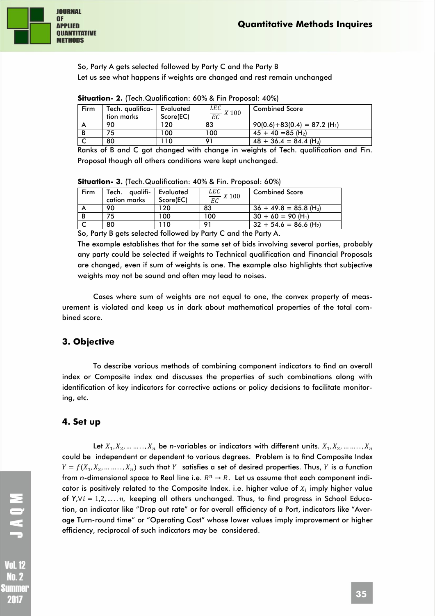

So, Party A gets selected followed by Party C and the Party B Let us see what happens if weights are changed and rest remain unchanged

| Firm | Tech. qualifica-<br>tion marks | Evaluated<br>Score(EC) | LEC<br>$\overline{EC}$ X 100 | <b>Combined Score</b>                        |
|------|--------------------------------|------------------------|------------------------------|----------------------------------------------|
|      | 90                             | 120                    | 83                           | $90(0.6) + 83(0.4) = 87.2$ (H <sub>1</sub> ) |
| B    |                                | 100                    | 100                          | $45 + 40 = 85$ (H <sub>2</sub> )             |
|      | 80                             |                        | $^{\circ}$                   | $48 + 36.4 = 84.4$ (H <sub>3</sub> )         |

**Situation- 2.** (Tech.Qualification: 60% & Fin Proposal: 40%)

Ranks of B and C got changed with change in weights of Tech. qualification and Fin. Proposal though all others conditions were kept unchanged.

| Firm | Tech. qualifi- Evaluated |           | LEC                   | <b>Combined Score</b>                |  |  |  |  |
|------|--------------------------|-----------|-----------------------|--------------------------------------|--|--|--|--|
|      | cation marks             | Score(EC) | $\frac{22}{EC}$ X 100 |                                      |  |  |  |  |
|      | 90                       | 120       | 83                    | $36 + 49.8 = 85.8$ (H <sub>3</sub> ) |  |  |  |  |
|      | 75                       | 100       | 100                   | $30 + 60 = 90$ (H <sub>1</sub> )     |  |  |  |  |
|      | 80                       | 11 O      | O <sub>1</sub>        | $32 + 54.6 = 86.6$ (H <sub>2</sub> ) |  |  |  |  |

**Situation- 3.** (Tech.Qualification: 40% & Fin. Proposal: 60%)

So, Party B gets selected followed by Party C and the Party A.

The example establishes that for the same set of bids involving several parties, probably any party could be selected if weights to Technical qualification and Financial Proposals are changed, even if sum of weights is one. The example also highlights that subjective weights may not be sound and often may lead to noises.

Cases where sum of weights are not equal to one, the convex property of measurement is violated and keep us in dark about mathematical properties of the total combined score.

### **3. Objective**

To describe various methods of combining component indicators to find an overall index or Composite index and discusses the properties of such combinations along with identification of key indicators for corrective actions or policy decisions to facilitate monitoring, etc.

### **4. Set up**

Let  $X_1, X_2,$  … … . ,  $X_n$  be *n*-variables or indicators with different units.  $X_1, X_2,$  … … . . ,  $X_n$ could be independent or dependent to various degrees. Problem is to find Composite Index  $Y = f(X_1, X_2, \ldots \ldots ., X_n)$  such that  $Y$  satisfies a set of desired properties. Thus,  $Y$  is a function from *n*-dimensional space to Real line i.e.  $R^n \rightarrow R$ . Let us assume that each component indicator is positively related to the Composite Index. i.e. higher value of  $X_i$  imply higher value of *Y,∀i* = 1,2, ….. *n*, keeping all others unchanged. Thus, to find progress in School Education, an indicator like "Drop out rate" or for overall efficiency of a Port, indicators like "Average Turn-round time" or "Operating Cost" whose lower values imply improvement or higher efficiency, reciprocal of such indicators may be considered.

207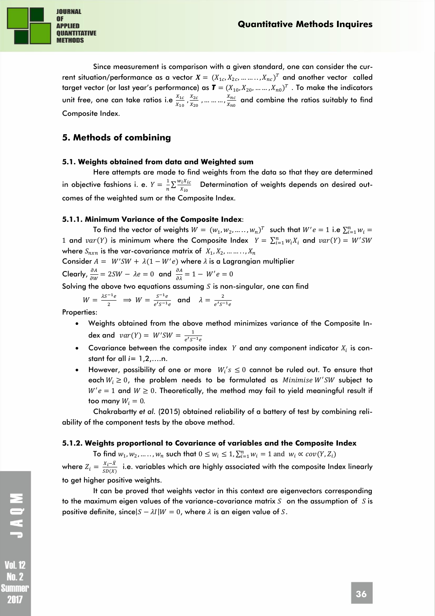

Since measurement is comparison with a given standard, one can consider the current situation/performance as a vector  $\pmb{X}=(X_{1c},X_{2c},......,X_{nc})^T$  and another vector  $\,$  called target vector (or last year's performance) as  $\bm{T}=(X_{10},X_{20},......,X_{n0})^T$  . To make the indicators unit free, one can take ratios i.e  $\frac{X_{1c}}{X_{10}}$  ,  $\frac{X_{2c}}{X_{20}}$  $\frac{X_{2c}}{X_{20}}$ , ... ... ...,  $\frac{X_{nc}}{X_{n0}}$  $\frac{\lambda_{nc}}{X_{n0}}$  and combine the ratios suitably to find Composite Index.

# **5. Methods of combining**

### **5.1. Weights obtained from data and Weighted sum**

Here attempts are made to find weights from the data so that they are determined in objective fashions i. e.  $Y = \frac{1}{n}$  $\frac{1}{n} \sum \frac{w_i X_{ic}}{X_{io}}$  $\frac{q_{1}n_{1}c}{X_{l0}}$  Determination of weights depends on desired outcomes of the weighted sum or the Composite Index.

### **5.1.1. Minimum Variance of the Composite Index**:

To find the vector of weights  $W = (w_1, w_2, ...., w_n)^T$  such that  $W'e = 1$  i.e  $\sum_{i=1}^{n} w_i =$ 1 and  $var(Y)$  is minimum where the Composite Index  $Y = \sum_{i=1}^{n} w_i X_i$  and  $var(Y) = W'SW$ where  $S_{n \mathsf{x} n}$  is the var-covariance matrix of  $\; X_1, X_2, \, ... \, ... \, ., X_n$ Consider  $A = W'SW + \lambda(1 - W'e)$  where  $\lambda$  is a Lagrangian multiplier

Clearly, 
$$
\frac{\partial A}{\partial W} = 2SW - \lambda e = 0
$$
 and  $\frac{\partial A}{\partial \lambda} = 1 - W'e = 0$ 

Solving the above two equations assuming  $S$  is non-singular, one can find

$$
W = \frac{\lambda s^{-1} e}{2} \implies W = \frac{s^{-1} e}{e's^{-1} e} \quad \text{and} \quad \lambda = \frac{2}{e's^{-1} e}
$$

Properties:

- Weights obtained from the above method minimizes variance of the Composite Index and  $var(Y) = W'SW = \frac{1}{e^{tC}}$  $e's^{-1}e$
- Covariance between the composite index  $\ Y$  and any component indicator  $X_i$  is constant for all  $i=1,2,...n$ .
- However, possibility of one or more  $W_i's \leq 0$  cannot be ruled out. To ensure that each  $W_i \geq 0$ , the problem needs to be formulated as *Minimise W'SW* subject to  $W'e = 1$  and  $W \ge 0$ . Theoretically, the method may fail to yield meaningful result if too many  $W_i = 0$ .

Chakrabartty *et al.* (2015) obtained reliability of a battery of test by combining reliability of the component tests by the above method.

### **5.1.2. Weights proportional to Covariance of variables and the Composite Index**

To find  $w_1, w_2, \dots, w_n$  such that  $0 \le w_i \le 1$ ,  $\sum_{i=1}^n w_i = 1$  and  $w_i \propto cov(Y, Z_i)$ where  $Z_i = \frac{X_i - \bar{X}_i}{S_D(X)}$  $\frac{z_1 - \alpha}{SD(X)}$  i.e. variables which are highly associated with the composite Index linearly to get higher positive weights.

It can be proved that weights vector in this context are eigenvectors corresponding to the maximum eigen values of the variance-covariance matrix  $S$  on the assumption of  $S$  is positive definite, since $|S - \lambda I|$  = 0, where  $\lambda$  is an eigen value of S.

207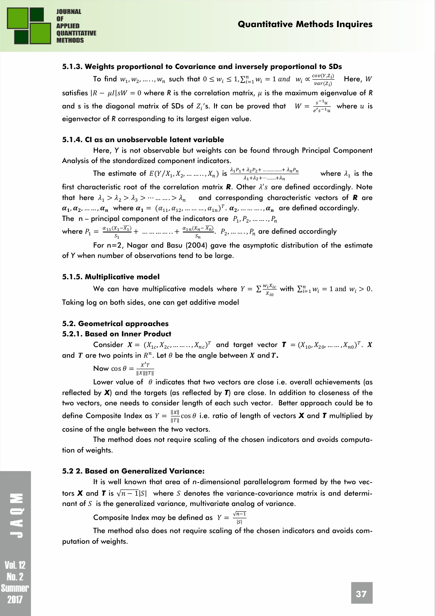

### **5.1.3. Weights proportional to Covariance and inversely proportional to SDs**

To find  $w_1, w_2, ...., w_n$  such that  $0 \leq w_i \leq 1, \sum_{i=1}^n w_i = 1$  and  $w_i \propto \frac{cov(Y, Z_i)}{var(Z_i)}$  $var(Z_i)$ Here, W satisfies  $|R - \mu I|sW = 0$  where *R* is the correlation matrix,  $\mu$  is the maximum eigenvalue of *R* and s is the diagonal matrix of SDs of  $Z_i$ 's. It can be proved that  $W = \frac{s^{-1}u}{e^{\prime}s^{-1}}$  $\frac{3}{e^r s^{-1} u}$  where u is eigenvector of *R* corresponding to its largest eigen value.

#### **5.1.4. CI as an unobservable latent variable**

Here, *Y* is not observable but weights can be found through Principal Component Analysis of the standardized component indicators.

The estimate of  $E(Y/X_1, X_2, ..., X_n)$  is  $\frac{\lambda_1 P_1 + \lambda_2 P_2 + ... + \lambda_n P_n}{\lambda_1 + \lambda_2 + ... + \lambda_n}$  where  $\lambda_1$  is the first characteristic root of the correlation matrix **R**. Other  $\lambda$ 's are defined accordingly. Note that here  $\lambda_1 > \lambda_2 > \lambda_3 > \cdots$  .... ...  $> \lambda_n$  and corresponding characteristic vectors of **R** are  $\alpha_1, \alpha_2, ..., \ldots, \alpha_n$  where  $\alpha_1 = (\alpha_{11}, \alpha_{12}, ..., ..., \alpha_{1n})^T$ .  $\alpha_2, ..., ..., \alpha_n$  are defined accordingly. The  $\,$  n – principal component of the indicators are  $\,$   $\,$   $P_1$  ,  $P_2$  , ... ... . ,  $P_n$ where  $P_1 = \frac{\alpha_{11}(X_1 - \overline{X_1})}{s_1}$  $\frac{x_1 - \overline{x_1}}{S_1}$  + … … … … ... +  $\frac{\alpha_{1n}(X_n - \overline{X_n})}{S_n}$  $\frac{N_{n}-N_{n}}{S_{n}}$ .  $P_{2},$  ... ... . ,  $P_{n}$  are defined accordingly

For n=2, Nagar and Basu (2004) gave the asymptotic distribution of the estimate of *Y* when number of observations tend to be large.

#### **5.1.5. Multiplicative model**

We can have multiplicative models where  $Y = \sum \frac{w_i X_{i,c}}{w_i}$  $\frac{v_i x_{ic}}{x_{io}}$  with  $\sum_{i=1}^n w_i = 1$  and  $w_i > 0$ . Taking log on both sides, one can get additive model

### **5.2. Geometrical approaches**

#### **5.2.1. Based on Inner Product**

Consider  $X = (X_{1c}, X_{2c}, ..., ..., X_{nc})^T$  and target vector  $\boldsymbol{T} = (X_{10}, X_{20}, ..., X_{n0})^T$ . X and T are two points in  $R^n$ . Let  $\theta$  be the angle between X and T.

Now 
$$
\cos \theta = \frac{x'r}{\|x\| \|r\|}
$$

Lower value of  $\theta$  indicates that two vectors are close i.e. overall achievements (as reflected by *X*) and the targets (as reflected by *T*) are close. In addition to closeness of the two vectors, one needs to consider length of each such vector. Better approach could be to define Composite Index as  $Y = \frac{||X||}{||X||}$  $\frac{\|A\|}{\|T\|}$ cos $\theta$  i.e. ratio of length of vectors  $\boldsymbol{X}$  and  $\boldsymbol{I}$  multiplied by cosine of the angle between the two vectors.

The method does not require scaling of the chosen indicators and avoids computation of weights.

#### **5.2 2. Based on Generalized Variance:**

It is well known that area of *n*-dimensional parallelogram formed by the two vectors **X** and **T** is  $\sqrt{n-1}$ |S| where S denotes the variance-covariance matrix is and determinant of  $S$  is the generalized variance, multivariate analog of variance.

> Composite Index may be defined as  $Y = \frac{\sqrt{n-1}}{\sqrt{n}}$  $|S|$

The method also does not require scaling of the chosen indicators and avoids computation of weights.

MOND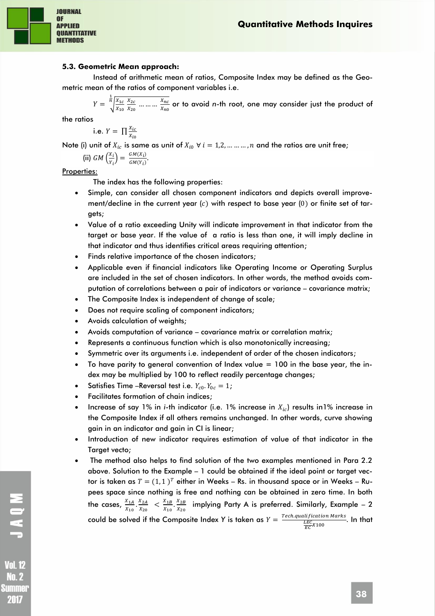

### **5.3. Geometric Mean approach:**

Instead of arithmetic mean of ratios, Composite Index may be defined as the Geometric mean of the ratios of component variables i.e.

 $Y = \frac{n}{\lambda} \left| \frac{X_{1c}}{X_{1c}} \right|$  $X_{10}$  $X_{2c}$  $\frac{X_{2c}}{X_{20}}$  … … …  $\frac{X_{nc}}{X_{n0}}$  $x_{n0}$  $\frac{\frac{1}{n}}{\sqrt{\frac{x_{1c}}{v}} \frac{x_{2c}}{v}}$  ... ... ...  $\frac{x_{nc}}{v}$  or to avoid *n*-th root, one may consider just the product of

the ratios

i.e.  $Y = \prod_{i=1}^{X_{ic}}$  $X_{i0}$ 

Note (i) unit of  $X_{ic}$  is same as unit of  $X_{i0} \forall i = 1,2,......,n$  and the ratios are unit free;

(ii) 
$$
GM\left(\frac{x_i}{y_i}\right) = \frac{GM(x_i)}{GM(y_i)}.
$$

Properties:

The index has the following properties:

- Simple, can consider all chosen component indicators and depicts overall improvement/decline in the current year  $(c)$  with respect to base year  $(0)$  or finite set of targets;
- Value of a ratio exceeding Unity will indicate improvement in that indicator from the target or base year. If the value of a ratio is less than one, it will imply decline in that indicator and thus identifies critical areas requiring attention;
- Finds relative importance of the chosen indicators;
- Applicable even if financial indicators like Operating Income or Operating Surplus are included in the set of chosen indicators. In other words, the method avoids computation of correlations between a pair of indicators or variance – covariance matrix;
- The Composite Index is independent of change of scale;
- Does not require scaling of component indicators;
- Avoids calculation of weights;
- Avoids computation of variance covariance matrix or correlation matrix;
- Represents a continuous function which is also monotonically increasing;
- Symmetric over its arguments i.e. independent of order of the chosen indicators;
- $\bullet$  To have parity to general convention of Index value  $= 100$  in the base year, the index may be multiplied by 100 to reflect readily percentage changes;
- Satisfies Time –Reversal test i.e.  $Y_{c0}$ .  $Y_{0c} = 1$ ;
- Facilitates formation of chain indices;
- Increase of say 1% in *i*-th indicator (i.e. 1% increase in  $X_{ic}$ ) results in1% increase in the Composite Index if all others remains unchanged. In other words, curve showing gain in an indicator and gain in CI is linear;
- Introduction of new indicator requires estimation of value of that indicator in the Target vecto;
- The method also helps to find solution of the two examples mentioned in Para 2.2 above. Solution to the Example – 1 could be obtained if the ideal point or target vector is taken as  $T=(1,1)^T$  either in Weeks – Rs. in thousand space or in Weeks – Rupees space since nothing is free and nothing can be obtained in zero time. In both the cases,  $\frac{X_{1A}}{X_{10}} \cdot \frac{X_{2A}}{X_{20}}$  $\frac{X_{2A}}{X_{20}} \leq \frac{X_{1B}}{X_{10}}$  $\frac{X_{1B}}{X_{10}} \cdot \frac{X_{2B}}{X_{20}}$  $\frac{x_{2B}}{x_{20}}$  implying Party A is preferred. Similarly, Example – 2 could be solved if the Composite Index Y is taken as  $Y = \frac{Tech.qualification \text{ Marks}}{ \frac{LEC}{EC} X 100}$ . In that

 $\ln 2$ Summer 207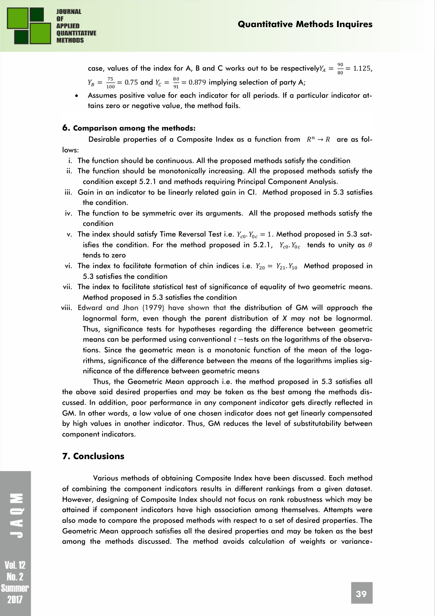

case, values of the index for A, B and C works out to be respectively $Y_A=\frac{90}{80}$  $\frac{36}{80}$  = 1.125,  $Y_B = \frac{75}{100}$  $\frac{75}{100}$  = 0.75 and  $Y_C = \frac{80}{91}$  $\frac{30}{91}$  = 0.879 implying selection of party A;

 Assumes positive value for each indicator for all periods. If a particular indicator attains zero or negative value, the method fails.

### **6. Comparison among the methods:**

Desirable properties of a Composite Index as a function from  $R^n \to R$  are as follows:

- i. The function should be continuous. All the proposed methods satisfy the condition
- ii. The function should be monotonically increasing. All the proposed methods satisfy the condition except 5.2.1 and methods requiring Principal Component Analysis.
- iii. Gain in an indicator to be linearly related gain in CI. Method proposed in 5.3 satisfies the condition.
- iv. The function to be symmetric over its arguments. All the proposed methods satisfy the condition
- v. The index should satisfy Time Reversal Test i.e.  $Y_{c0}. \, Y_{0c} = 1.$  Method proposed in 5.3 satisfies the condition. For the method proposed in 5.2.1,  $\ Y_{c0}. \ Y_{0c}$  tends to unity as  $\theta$ tends to zero
- vi. The index to facilitate formation of chin indices i.e.  $Y_{20} = Y_{21}. Y_{10}$  Method proposed in 5.3 satisfies the condition
- vii. The index to facilitate statistical test of significance of equality of two geometric means. Method proposed in 5.3 satisfies the condition
- viii. Edward and Jhon (1979) have shown that the distribution of GM will approach the lognormal form, even though the parent distribution of *X* may not be lognormal. Thus, significance tests for hypotheses regarding the difference between geometric means can be performed using conventional  $t$  -tests on the logarithms of the observations. Since the geometric mean is a monotonic function of the mean of the logarithms, significance of the difference between the means of the logarithms implies significance of the difference between geometric means

Thus, the Geometric Mean approach i.e. the method proposed in 5.3 satisfies all the above said desired properties and may be taken as the best among the methods discussed. In addition, poor performance in any component indicator gets directly reflected in GM. In other words, a low value of one chosen indicator does not get linearly compensated by high values in another indicator. Thus, GM reduces the level of substitutability between component indicators.

# **7. Conclusions**

Various methods of obtaining Composite Index have been discussed. Each method of combining the component indicators results in different rankings from a given dataset. However, designing of Composite Index should not focus on rank robustness which may be attained if component indicators have high association among themselves. Attempts were also made to compare the proposed methods with respect to a set of desired properties. The Geometric Mean approach satisfies all the desired properties and may be taken as the best among the methods discussed. The method avoids calculation of weights or variance-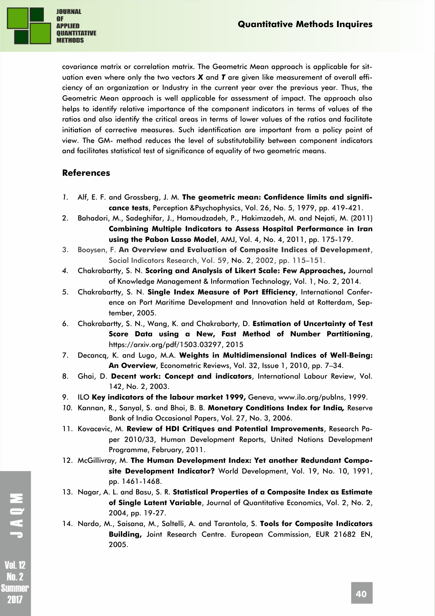

covariance matrix or correlation matrix. The Geometric Mean approach is applicable for situation even where only the two vectors *X* and *T* are given like measurement of overall efficiency of an organization or Industry in the current year over the previous year. Thus, the Geometric Mean approach is well applicable for assessment of impact. The approach also helps to identify relative importance of the component indicators in terms of values of the ratios and also identify the critical areas in terms of lower values of the ratios and facilitate initiation of corrective measures. Such identification are important from a policy point of view. The GM- method reduces the level of substitutability between component indicators and facilitates statistical test of significance of equality of two geometric means.

# **References**

- *1.* Alf, E. F. and Grossberg, J. M. **The geometric mean: Confidence limits and significance tests**, Perception &Psychophysics, Vol. 26, No. 5, 1979, pp. 419-421.
- 2. Bahadori, M., Sadeghifar, J., Hamoudzadeh, P., Hakimzadeh, M. and Nejati, M. (2011) **Combining Multiple Indicators to Assess Hospital Performance in Iran using the Pabon Lasso Model**, AMJ, Vol. 4, No. 4, 2011, pp. 175-179.
- 3. Booysen, F. **An Overview and Evaluation of Composite Indices of Development**, Social Indicators Research, Vol. 59, No. 2, 2002, pp. 115–151.
- *4.* Chakrabartty, S. N. **Scoring and Analysis of Likert Scale: Few Approaches,** Journal of Knowledge Management & Information Technology, Vol. 1, No. 2, 2014.
- 5. Chakrabartty, S. N. **Single Index Measure of Port Efficiency**, International Conference on Port Maritime Development and Innovation held at Rotterdam, September, 2005.
- 6. Chakrabartty, S. N., Wang, K. and Chakrabarty, D. **Estimation of Uncertainty of Test Score Data using a New, Fast Method of Number Partitioning**, https://arxiv.org/pdf/1503.03297, 2015
- 7. Decancq, K. and Lugo, M.A. **Weights in Multidimensional Indices of Well**‐**Being: An Overview**, Econometric Reviews, Vol. 32, Issue 1, 2010, pp. 7–34.
- 8. Ghai, D. **Decent work: Concept and indicators**, International Labour Review, Vol. 142, No. 2, 2003.
- 9. ILO **Key indicators of the labour market 1999,** Geneva, www.ilo.org/publns, 1999.
- *10.* Kannan, R., Sanyal, S. and Bhoi, B. B. **Monetary Conditions Index for India***,* Reserve Bank of India Occasional Papers, Vol. 27, No. 3, 2006.
- 11. Kovacevic, M. **Review of HDI Critiques and Potential Improvements**, Research Paper 2010/33, Human Development Reports, United Nations Development Programme, February, 2011.
- 12. McGillivray, M. **The Human Development Index: Yet another Redundant Composite Development Indicator?** World Development, Vol. 19, No. 10, 1991, pp. 1461-1468.
- 13. Nagar, A. L. and Basu, S. R. **Statistical Properties of a Composite Index as Estimate of Single Latent Variable**, Journal of Quantitative Economics, Vol. 2, No. 2, 2004, pp. 19-27.
- 14. Nardo, M., Saisana, M., Saltelli, A. and Tarantola, S. **Tools for Composite Indicators Building,** Joint Research Centre. European Commission, EUR 21682 EN, 2005.

MOVT